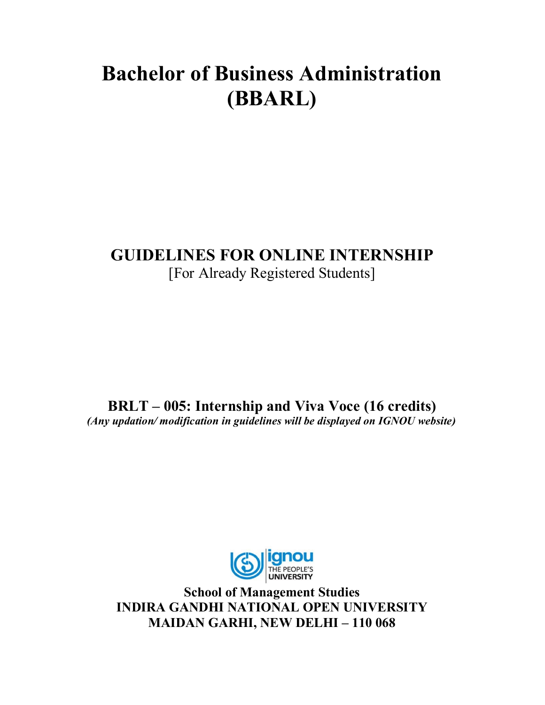# **Bachelor of Business Administration (BBARL)**

# **GUIDELINES FOR ONLINE INTERNSHIP** [For Already Registered Students]

**BRLT – 005: Internship and Viva Voce (16 credits)** *(Any updation/ modification in guidelines will be displayed on IGNOU website)*



**School of Management Studies INDIRA GANDHI NATIONAL OPEN UNIVERSITY MAIDAN GARHI, NEW DELHI – 110 068**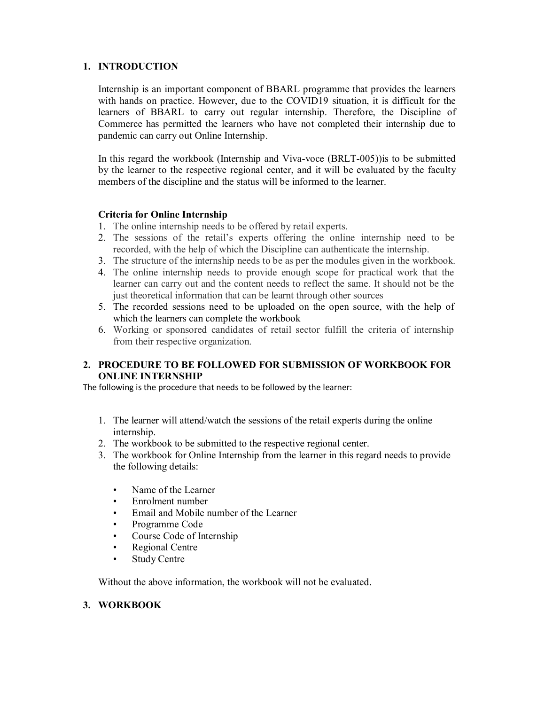### **1. INTRODUCTION**

Internship is an important component of BBARL programme that provides the learners with hands on practice. However, due to the COVID19 situation, it is difficult for the learners of BBARL to carry out regular internship. Therefore, the Discipline of Commerce has permitted the learners who have not completed their internship due to pandemic can carry out Online Internship.

In this regard the workbook (Internship and Viva-voce (BRLT-005))is to be submitted by the learner to the respective regional center, and it will be evaluated by the faculty members of the discipline and the status will be informed to the learner.

#### **Criteria for Online Internship**

- 1. The online internship needs to be offered by retail experts.
- 2. The sessions of the retail's experts offering the online internship need to be recorded, with the help of which the Discipline can authenticate the internship.
- 3. The structure of the internship needs to be as per the modules given in the workbook.
- 4. The online internship needs to provide enough scope for practical work that the learner can carry out and the content needs to reflect the same. It should not be the just theoretical information that can be learnt through other sources
- 5. The recorded sessions need to be uploaded on the open source, with the help of which the learners can complete the workbook
- 6. Working or sponsored candidates of retail sector fulfill the criteria of internship from their respective organization.

#### **2. PROCEDURE TO BE FOLLOWED FOR SUBMISSION OF WORKBOOK FOR ONLINE INTERNSHIP**

The following is the procedure that needs to be followed by the learner:

- 1. The learner will attend/watch the sessions of the retail experts during the online internship.
- 2. The workbook to be submitted to the respective regional center.
- 3. The workbook for Online Internship from the learner in this regard needs to provide the following details:
	- Name of the Learner
	- Enrolment number
	- Email and Mobile number of the Learner
	- Programme Code
	- Course Code of Internship
	- Regional Centre
	- **Study Centre**

Without the above information, the workbook will not be evaluated.

#### **3. WORKBOOK**